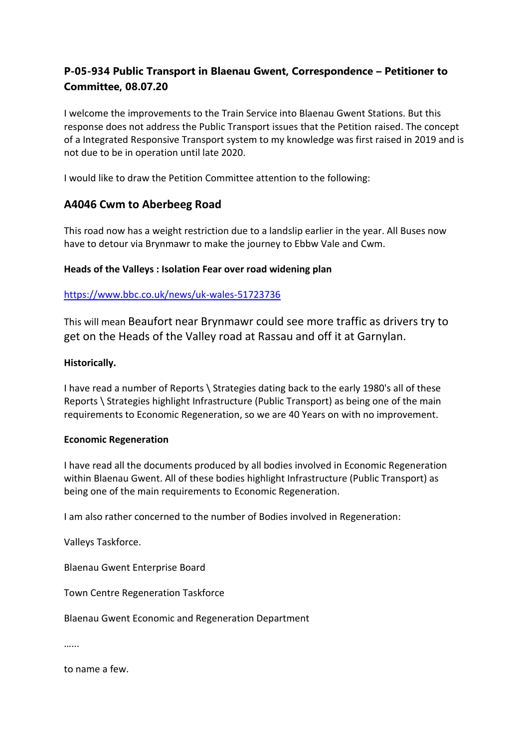# **P-05-934 Public Transport in Blaenau Gwent, Correspondence – Petitioner to Committee, 08.07.20**

I welcome the improvements to the Train Service into Blaenau Gwent Stations. But this response does not address the Public Transport issues that the Petition raised. The concept of a Integrated Responsive Transport system to my knowledge was first raised in 2019 and is not due to be in operation until late 2020.

I would like to draw the Petition Committee attention to the following:

## **A4046 Cwm to Aberbeeg Road**

This road now has a weight restriction due to a landslip earlier in the year. All Buses now have to detour via Brynmawr to make the journey to Ebbw Vale and Cwm.

## **Heads of the Valleys : Isolation Fear over road widening plan**

## <https://www.bbc.co.uk/news/uk-wales-51723736>

This will mean Beaufort near Brynmawr could see more traffic as drivers try to get on the Heads of the Valley road at Rassau and off it at Garnylan.

#### **Historically.**

I have read a number of Reports \ Strategies dating back to the early 1980's all of these Reports \ Strategies highlight Infrastructure (Public Transport) as being one of the main requirements to Economic Regeneration, so we are 40 Years on with no improvement.

#### **Economic Regeneration**

I have read all the documents produced by all bodies involved in Economic Regeneration within Blaenau Gwent. All of these bodies highlight Infrastructure (Public Transport) as being one of the main requirements to Economic Regeneration.

I am also rather concerned to the number of Bodies involved in Regeneration:

Valleys Taskforce.

Blaenau Gwent Enterprise Board

Town Centre Regeneration Taskforce

Blaenau Gwent Economic and Regeneration Department

……

to name a few.